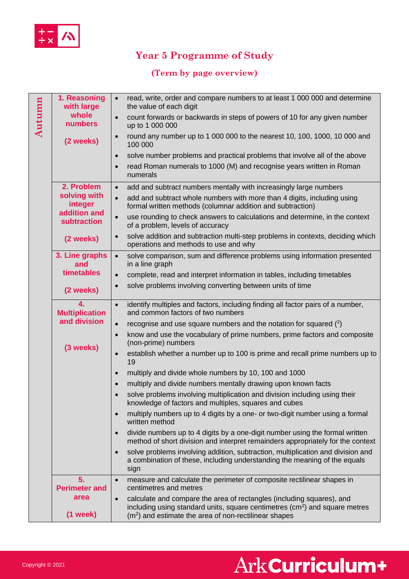

## **Year 5 Programme of Study**

#### **(Term by page overview)**

| Autumn | 1. Reasoning<br>with large                  | read, write, order and compare numbers to at least 1 000 000 and determine<br>$\bullet$<br>the value of each digit                                                                                                                      |
|--------|---------------------------------------------|-----------------------------------------------------------------------------------------------------------------------------------------------------------------------------------------------------------------------------------------|
|        | whole<br><b>numbers</b>                     | count forwards or backwards in steps of powers of 10 for any given number<br>$\bullet$<br>up to 1 000 000                                                                                                                               |
|        | (2 weeks)                                   | round any number up to 1 000 000 to the nearest 10, 100, 1000, 10 000 and<br>$\bullet$<br>100 000                                                                                                                                       |
|        |                                             | solve number problems and practical problems that involve all of the above<br>$\bullet$                                                                                                                                                 |
|        |                                             | read Roman numerals to 1000 (M) and recognise years written in Roman<br>$\bullet$<br>numerals                                                                                                                                           |
|        | 2. Problem                                  | add and subtract numbers mentally with increasingly large numbers<br>$\bullet$                                                                                                                                                          |
|        | solving with<br>integer                     | add and subtract whole numbers with more than 4 digits, including using<br>$\bullet$<br>formal written methods (columnar addition and subtraction)                                                                                      |
|        | addition and<br>subtraction                 | use rounding to check answers to calculations and determine, in the context<br>$\bullet$<br>of a problem, levels of accuracy                                                                                                            |
|        | (2 weeks)                                   | solve addition and subtraction multi-step problems in contexts, deciding which<br>$\bullet$<br>operations and methods to use and why                                                                                                    |
|        | 3. Line graphs<br>and                       | solve comparison, sum and difference problems using information presented<br>$\bullet$<br>in a line graph                                                                                                                               |
|        | timetables                                  | complete, read and interpret information in tables, including timetables<br>$\bullet$                                                                                                                                                   |
|        | (2 weeks)                                   | solve problems involving converting between units of time<br>$\bullet$                                                                                                                                                                  |
|        | 4.<br><b>Multiplication</b><br>and division | identify multiples and factors, including finding all factor pairs of a number,<br>$\bullet$<br>and common factors of two numbers                                                                                                       |
|        |                                             | recognise and use square numbers and the notation for squared (2)<br>$\bullet$                                                                                                                                                          |
|        | (3 weeks)                                   | know and use the vocabulary of prime numbers, prime factors and composite<br>$\bullet$<br>(non-prime) numbers                                                                                                                           |
|        |                                             | establish whether a number up to 100 is prime and recall prime numbers up to<br>$\bullet$<br>19                                                                                                                                         |
|        |                                             | multiply and divide whole numbers by 10, 100 and 1000<br>$\bullet$                                                                                                                                                                      |
|        |                                             | multiply and divide numbers mentally drawing upon known facts<br>$\bullet$                                                                                                                                                              |
|        |                                             | solve problems involving multiplication and division including using their<br>knowledge of factors and multiples, squares and cubes                                                                                                     |
|        |                                             | multiply numbers up to 4 digits by a one- or two-digit number using a formal<br>$\bullet$<br>written method                                                                                                                             |
|        |                                             | divide numbers up to 4 digits by a one-digit number using the formal written<br>$\bullet$<br>method of short division and interpret remainders appropriately for the context                                                            |
|        |                                             | solve problems involving addition, subtraction, multiplication and division and<br>$\bullet$<br>a combination of these, including understanding the meaning of the equals<br>sign                                                       |
|        | 5.<br><b>Perimeter and</b>                  | measure and calculate the perimeter of composite rectilinear shapes in<br>$\bullet$<br>centimetres and metres                                                                                                                           |
|        | area<br>$(1$ week $)$                       | calculate and compare the area of rectangles (including squares), and<br>$\bullet$<br>including using standard units, square centimetres (cm <sup>2</sup> ) and square metres<br>$(m2)$ and estimate the area of non-rectilinear shapes |

# Ark Curriculum+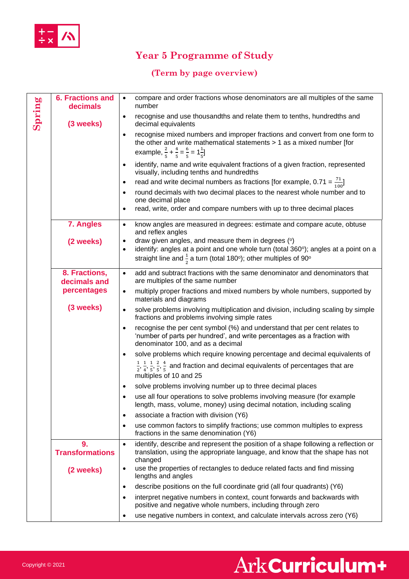

### **Year 5 Programme of Study**

#### **(Term by page overview)**

| Spring | <b>6. Fractions and</b><br>decimals | compare and order fractions whose denominators are all multiples of the same<br>$\bullet$<br>number                                                                                                                                                |
|--------|-------------------------------------|----------------------------------------------------------------------------------------------------------------------------------------------------------------------------------------------------------------------------------------------------|
|        | (3 weeks)                           | recognise and use thousandths and relate them to tenths, hundredths and<br>$\bullet$<br>decimal equivalents                                                                                                                                        |
|        |                                     | recognise mixed numbers and improper fractions and convert from one form to<br>$\bullet$<br>the other and write mathematical statements $> 1$ as a mixed number [for<br>example, $\frac{2}{5} + \frac{4}{5} = \frac{6}{5} = 1\frac{1}{5}$          |
|        |                                     | identify, name and write equivalent fractions of a given fraction, represented<br>$\bullet$<br>visually, including tenths and hundredths                                                                                                           |
|        |                                     | read and write decimal numbers as fractions [for example, $0.71 = \frac{71}{100}$ ]<br>$\bullet$                                                                                                                                                   |
|        |                                     | round decimals with two decimal places to the nearest whole number and to<br>$\bullet$<br>one decimal place                                                                                                                                        |
|        |                                     | read, write, order and compare numbers with up to three decimal places<br>$\bullet$                                                                                                                                                                |
|        | 7. Angles                           | know angles are measured in degrees: estimate and compare acute, obtuse<br>$\bullet$<br>and reflex angles                                                                                                                                          |
|        | (2 weeks)                           | draw given angles, and measure them in degrees (°)<br>$\bullet$<br>identify: angles at a point and one whole turn (total 360°); angles at a point on a<br>$\bullet$<br>straight line and $\frac{1}{2}$ a turn (total 180°); other multiples of 90° |
|        | 8. Fractions,<br>decimals and       | add and subtract fractions with the same denominator and denominators that<br>$\bullet$<br>are multiples of the same number                                                                                                                        |
|        | percentages                         | multiply proper fractions and mixed numbers by whole numbers, supported by<br>$\bullet$<br>materials and diagrams                                                                                                                                  |
|        | (3 weeks)                           | solve problems involving multiplication and division, including scaling by simple<br>$\bullet$<br>fractions and problems involving simple rates                                                                                                    |
|        |                                     | recognise the per cent symbol (%) and understand that per cent relates to<br>$\bullet$<br>'number of parts per hundred', and write percentages as a fraction with<br>denominator 100, and as a decimal                                             |
|        |                                     | solve problems which require knowing percentage and decimal equivalents of<br>$\bullet$                                                                                                                                                            |
|        |                                     | $\frac{1}{2}, \frac{1}{4}, \frac{1}{5}, \frac{2}{5}, \frac{4}{5}$ and fraction and decimal equivalents of percentages that are<br>multiples of 10 and 25                                                                                           |
|        |                                     | solve problems involving number up to three decimal places<br>$\bullet$                                                                                                                                                                            |
|        |                                     | use all four operations to solve problems involving measure (for example<br>length, mass, volume, money) using decimal notation, including scaling                                                                                                 |
|        |                                     | associate a fraction with division (Y6)<br>$\bullet$                                                                                                                                                                                               |
|        |                                     | use common factors to simplify fractions; use common multiples to express<br>$\bullet$<br>fractions in the same denomination (Y6)                                                                                                                  |
|        | 9.<br><b>Transformations</b>        | identify, describe and represent the position of a shape following a reflection or<br>$\bullet$<br>translation, using the appropriate language, and know that the shape has not<br>changed                                                         |
|        | (2 weeks)                           | use the properties of rectangles to deduce related facts and find missing<br>$\bullet$<br>lengths and angles                                                                                                                                       |
|        |                                     | describe positions on the full coordinate grid (all four quadrants) (Y6)<br>$\bullet$                                                                                                                                                              |
|        |                                     | interpret negative numbers in context, count forwards and backwards with<br>$\bullet$<br>positive and negative whole numbers, including through zero                                                                                               |
|        |                                     | use negative numbers in context, and calculate intervals across zero (Y6)<br>٠                                                                                                                                                                     |

## Ark Curriculum+